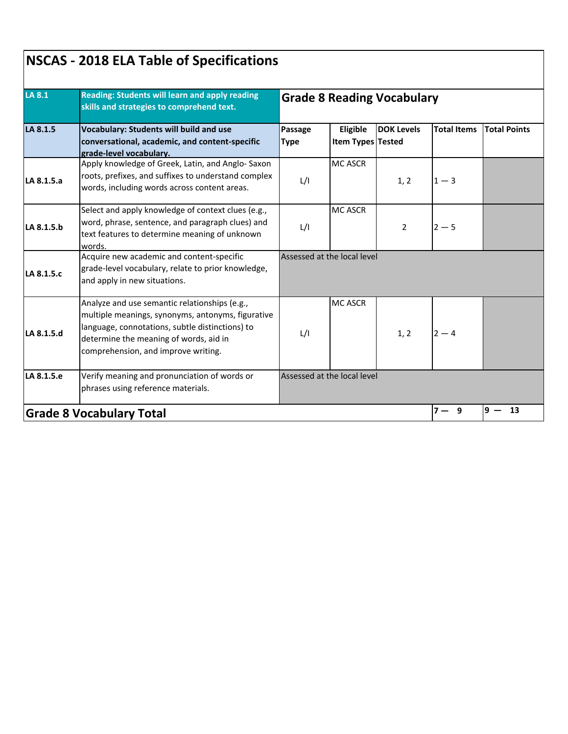|            | Reading: Students will learn and apply reading<br>skills and strategies to comprehend text.<br><b>Vocabulary: Students will build and use</b><br>conversational, academic, and content-specific<br>grade-level vocabulary.             | <b>Grade 8 Reading Vocabulary</b> |                               |                   |                    |                     |  |
|------------|----------------------------------------------------------------------------------------------------------------------------------------------------------------------------------------------------------------------------------------|-----------------------------------|-------------------------------|-------------------|--------------------|---------------------|--|
| LA 8.1.5   |                                                                                                                                                                                                                                        | Passage<br><b>Type</b>            | Eligible<br>Item Types Tested | <b>DOK Levels</b> | <b>Total Items</b> | <b>Total Points</b> |  |
| LA 8.1.5.a | Apply knowledge of Greek, Latin, and Anglo-Saxon<br>roots, prefixes, and suffixes to understand complex<br>words, including words across content areas.                                                                                | L/I                               | <b>MC ASCR</b>                | 1, 2              | $1 - 3$            |                     |  |
| LA 8.1.5.b | Select and apply knowledge of context clues (e.g.,<br>word, phrase, sentence, and paragraph clues) and<br>text features to determine meaning of unknown<br>words.                                                                      | L/I                               | <b>MC ASCR</b>                | $\overline{2}$    | $2 - 5$            |                     |  |
| LA 8.1.5.c | Acquire new academic and content-specific<br>grade-level vocabulary, relate to prior knowledge,<br>and apply in new situations.                                                                                                        | Assessed at the local level       |                               |                   |                    |                     |  |
| LA 8.1.5.d | Analyze and use semantic relationships (e.g.,<br>multiple meanings, synonyms, antonyms, figurative<br>language, connotations, subtle distinctions) to<br>determine the meaning of words, aid in<br>comprehension, and improve writing. | L/I                               | <b>MC ASCR</b>                | 1, 2              | $2 - 4$            |                     |  |
| LA 8.1.5.e | Verify meaning and pronunciation of words or<br>phrases using reference materials.                                                                                                                                                     |                                   | Assessed at the local level   |                   |                    |                     |  |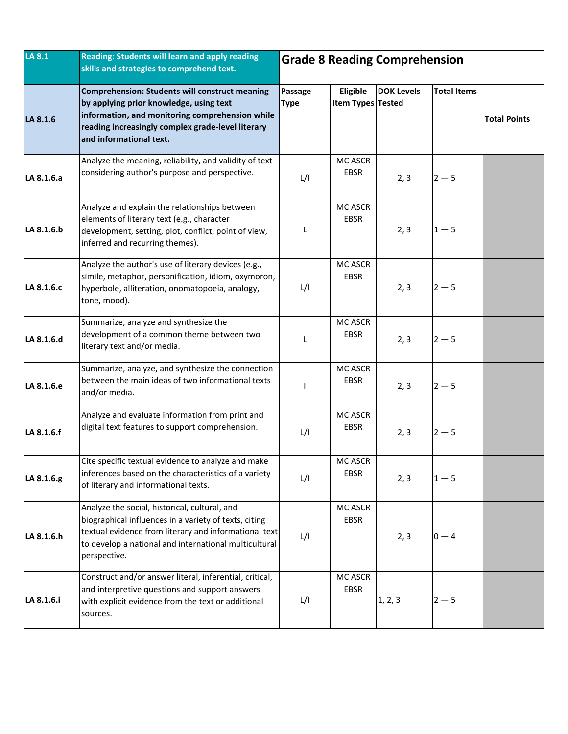| LA 8.1     | Reading: Students will learn and apply reading<br>skills and strategies to comprehend text.                                                                                                                                              | <b>Grade 8 Reading Comprehension</b> |                                      |                   |                    |                     |
|------------|------------------------------------------------------------------------------------------------------------------------------------------------------------------------------------------------------------------------------------------|--------------------------------------|--------------------------------------|-------------------|--------------------|---------------------|
| LA 8.1.6   | <b>Comprehension: Students will construct meaning</b><br>by applying prior knowledge, using text<br>information, and monitoring comprehension while<br>reading increasingly complex grade-level literary<br>and informational text.      | Passage<br><b>Type</b>               | Eligible<br><b>Item Types Tested</b> | <b>DOK Levels</b> | <b>Total Items</b> | <b>Total Points</b> |
| LA 8.1.6.a | Analyze the meaning, reliability, and validity of text<br>considering author's purpose and perspective.                                                                                                                                  | L/I                                  | MC ASCR<br>EBSR                      | 2, 3              | $2 - 5$            |                     |
| LA 8.1.6.b | Analyze and explain the relationships between<br>elements of literary text (e.g., character<br>development, setting, plot, conflict, point of view,<br>inferred and recurring themes).                                                   | L                                    | MC ASCR<br><b>EBSR</b>               | 2, 3              | $1-5$              |                     |
| LA 8.1.6.c | Analyze the author's use of literary devices (e.g.,<br>simile, metaphor, personification, idiom, oxymoron,<br>hyperbole, alliteration, onomatopoeia, analogy,<br>tone, mood).                                                            | L/I                                  | MC ASCR<br><b>EBSR</b>               | 2, 3              | $2 - 5$            |                     |
| LA 8.1.6.d | Summarize, analyze and synthesize the<br>development of a common theme between two<br>literary text and/or media.                                                                                                                        | L                                    | MC ASCR<br><b>EBSR</b>               | 2, 3              | $2 - 5$            |                     |
| LA 8.1.6.e | Summarize, analyze, and synthesize the connection<br>between the main ideas of two informational texts<br>and/or media.                                                                                                                  | L                                    | MC ASCR<br>EBSR                      | 2, 3              | $2 - 5$            |                     |
| LA 8.1.6.f | Analyze and evaluate information from print and<br>digital text features to support comprehension.                                                                                                                                       | L/I                                  | MC ASCR<br><b>EBSR</b>               | 2, 3              | $2 - 5$            |                     |
| LA 8.1.6.g | Cite specific textual evidence to analyze and make<br>inferences based on the characteristics of a variety<br>of literary and informational texts.                                                                                       | L/I                                  | MC ASCR<br><b>EBSR</b>               | 2, 3              | $1 - 5$            |                     |
| LA 8.1.6.h | Analyze the social, historical, cultural, and<br>biographical influences in a variety of texts, citing<br>textual evidence from literary and informational text<br>to develop a national and international multicultural<br>perspective. | L/I                                  | MC ASCR<br>EBSR                      | 2, 3              | $0 - 4$            |                     |
| LA 8.1.6.i | Construct and/or answer literal, inferential, critical,<br>and interpretive questions and support answers<br>with explicit evidence from the text or additional<br>sources.                                                              | L/I                                  | <b>MC ASCR</b><br>EBSR               | 1, 2, 3           | $2 - 5$            |                     |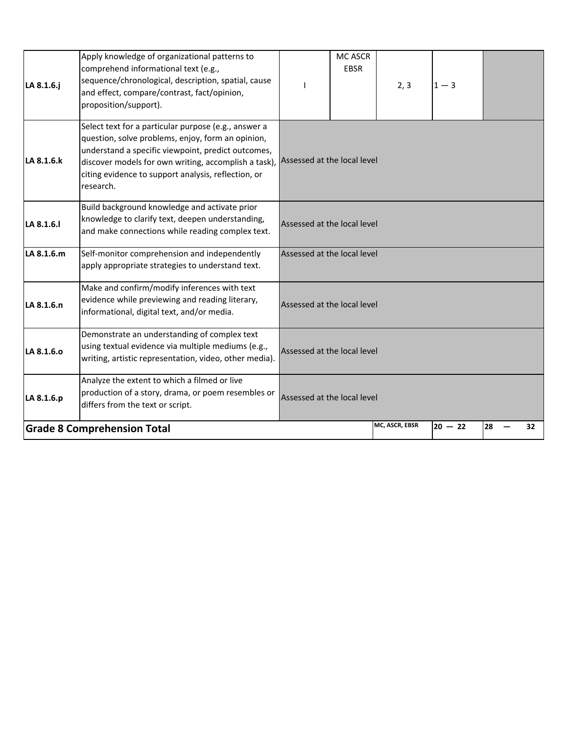| LA 8.1.6.j | Apply knowledge of organizational patterns to<br>comprehend informational text (e.g.,<br>sequence/chronological, description, spatial, cause<br>and effect, compare/contrast, fact/opinion,<br>proposition/support).                                                                                                    |                             | MC ASCR<br><b>EBSR</b> | 2, 3           | $1 - 3$   |    |    |
|------------|-------------------------------------------------------------------------------------------------------------------------------------------------------------------------------------------------------------------------------------------------------------------------------------------------------------------------|-----------------------------|------------------------|----------------|-----------|----|----|
| LA 8.1.6.k | Select text for a particular purpose (e.g., answer a<br>question, solve problems, enjoy, form an opinion,<br>understand a specific viewpoint, predict outcomes,<br>discover models for own writing, accomplish a task), Assessed at the local level<br>citing evidence to support analysis, reflection, or<br>research. |                             |                        |                |           |    |    |
| LA 8.1.6.I | Build background knowledge and activate prior<br>knowledge to clarify text, deepen understanding,<br>and make connections while reading complex text.                                                                                                                                                                   | Assessed at the local level |                        |                |           |    |    |
| LA 8.1.6.m | Self-monitor comprehension and independently<br>apply appropriate strategies to understand text.                                                                                                                                                                                                                        | Assessed at the local level |                        |                |           |    |    |
| LA 8.1.6.n | Make and confirm/modify inferences with text<br>evidence while previewing and reading literary,<br>informational, digital text, and/or media.                                                                                                                                                                           | Assessed at the local level |                        |                |           |    |    |
| LA 8.1.6.0 | Demonstrate an understanding of complex text<br>using textual evidence via multiple mediums (e.g.,<br>writing, artistic representation, video, other media).                                                                                                                                                            | Assessed at the local level |                        |                |           |    |    |
| LA 8.1.6.p | Analyze the extent to which a filmed or live<br>production of a story, drama, or poem resembles or<br>differs from the text or script.                                                                                                                                                                                  | Assessed at the local level |                        |                |           |    |    |
|            | <b>Grade 8 Comprehension Total</b>                                                                                                                                                                                                                                                                                      |                             |                        | MC, ASCR, EBSR | $20 - 22$ | 28 | 32 |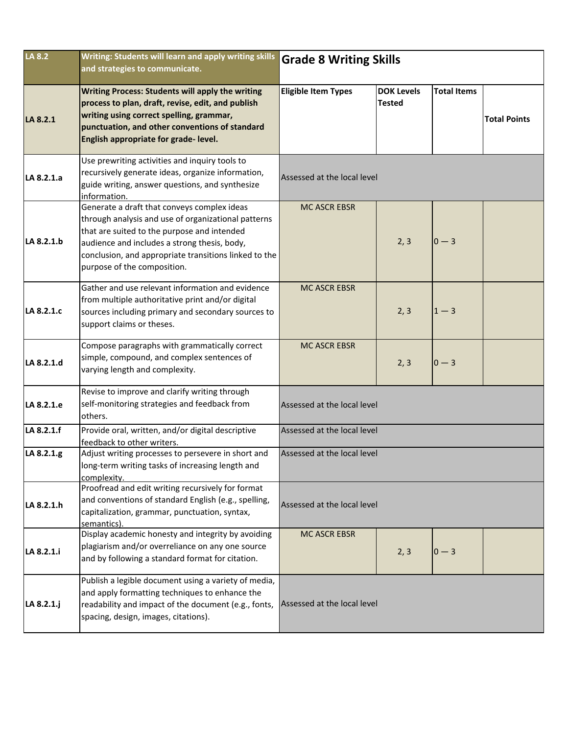| LA 8.2     | Writing: Students will learn and apply writing skills<br>and strategies to communicate.                                                                                                                                                                                                   | <b>Grade 8 Writing Skills</b> |                                    |                    |                     |  |  |
|------------|-------------------------------------------------------------------------------------------------------------------------------------------------------------------------------------------------------------------------------------------------------------------------------------------|-------------------------------|------------------------------------|--------------------|---------------------|--|--|
| LA 8.2.1   | <b>Writing Process: Students will apply the writing</b><br>process to plan, draft, revise, edit, and publish<br>writing using correct spelling, grammar,<br>punctuation, and other conventions of standard<br>English appropriate for grade-level.                                        | <b>Eligible Item Types</b>    | <b>DOK Levels</b><br><b>Tested</b> | <b>Total Items</b> | <b>Total Points</b> |  |  |
| LA 8.2.1.a | Use prewriting activities and inquiry tools to<br>recursively generate ideas, organize information,<br>guide writing, answer questions, and synthesize<br>information.                                                                                                                    | Assessed at the local level   |                                    |                    |                     |  |  |
| LA 8.2.1.b | Generate a draft that conveys complex ideas<br>through analysis and use of organizational patterns<br>that are suited to the purpose and intended<br>audience and includes a strong thesis, body,<br>conclusion, and appropriate transitions linked to the<br>purpose of the composition. | <b>MC ASCR EBSR</b>           | 2, 3                               | $0 - 3$            |                     |  |  |
| LA 8.2.1.c | Gather and use relevant information and evidence<br>from multiple authoritative print and/or digital<br>sources including primary and secondary sources to<br>support claims or theses.                                                                                                   | <b>MC ASCR EBSR</b>           | 2, 3                               | $1 - 3$            |                     |  |  |
| LA 8.2.1.d | Compose paragraphs with grammatically correct<br>simple, compound, and complex sentences of<br>varying length and complexity.                                                                                                                                                             | <b>MC ASCR EBSR</b>           | 2, 3                               | $0 - 3$            |                     |  |  |
| LA 8.2.1.e | Revise to improve and clarify writing through<br>self-monitoring strategies and feedback from<br>others.                                                                                                                                                                                  | Assessed at the local level   |                                    |                    |                     |  |  |
| LA 8.2.1.f | Provide oral, written, and/or digital descriptive<br>feedback to other writers.                                                                                                                                                                                                           | Assessed at the local level   |                                    |                    |                     |  |  |
| LA 8.2.1.g | Adjust writing processes to persevere in short and<br>long-term writing tasks of increasing length and<br>complexity.                                                                                                                                                                     | Assessed at the local level   |                                    |                    |                     |  |  |
| LA 8.2.1.h | Proofread and edit writing recursively for format<br>and conventions of standard English (e.g., spelling,<br>capitalization, grammar, punctuation, syntax,<br>semantics)                                                                                                                  | Assessed at the local level   |                                    |                    |                     |  |  |
| LA 8.2.1.i | Display academic honesty and integrity by avoiding<br>plagiarism and/or overreliance on any one source<br>and by following a standard format for citation.                                                                                                                                | <b>MC ASCR EBSR</b>           | 2, 3                               | $0 - 3$            |                     |  |  |
| LA 8.2.1.j | Publish a legible document using a variety of media,<br>and apply formatting techniques to enhance the<br>readability and impact of the document (e.g., fonts,<br>spacing, design, images, citations).                                                                                    | Assessed at the local level   |                                    |                    |                     |  |  |